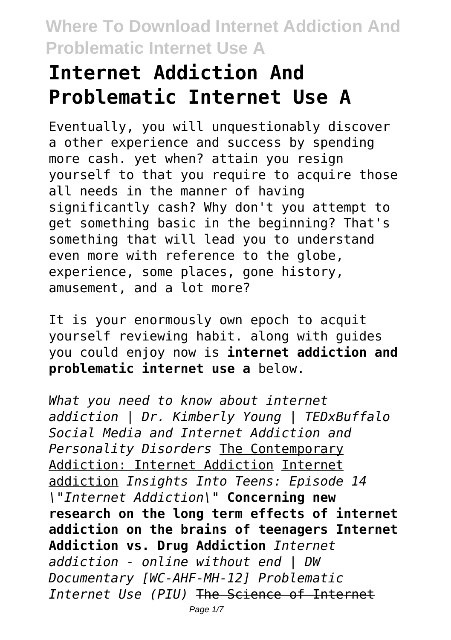# **Internet Addiction And Problematic Internet Use A**

Eventually, you will unquestionably discover a other experience and success by spending more cash. yet when? attain you resign yourself to that you require to acquire those all needs in the manner of having significantly cash? Why don't you attempt to get something basic in the beginning? That's something that will lead you to understand even more with reference to the globe, experience, some places, gone history, amusement, and a lot more?

It is your enormously own epoch to acquit yourself reviewing habit. along with guides you could enjoy now is **internet addiction and problematic internet use a** below.

*What you need to know about internet addiction | Dr. Kimberly Young | TEDxBuffalo Social Media and Internet Addiction and Personality Disorders* The Contemporary Addiction: Internet Addiction Internet addiction *Insights Into Teens: Episode 14 \"Internet Addiction\"* **Concerning new research on the long term effects of internet addiction on the brains of teenagers Internet Addiction vs. Drug Addiction** *Internet addiction - online without end | DW Documentary [WC-AHF-MH-12] Problematic Internet Use (PIU)* The Science of Internet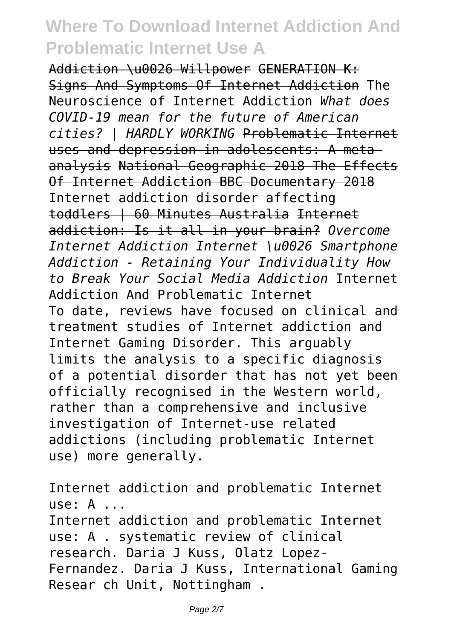Addiction \u0026 Willpower GENERATION K: Signs And Symptoms Of Internet Addiction The Neuroscience of Internet Addiction *What does COVID-19 mean for the future of American cities? | HARDLY WORKING* Problematic Internet uses and depression in adolescents: A metaanalysis National Geographic 2018 The Effects Of Internet Addiction BBC Documentary 2018 Internet addiction disorder affecting toddlers | 60 Minutes Australia Internet addiction: Is it all in your brain? *Overcome Internet Addiction Internet \u0026 Smartphone Addiction - Retaining Your Individuality How to Break Your Social Media Addiction* Internet Addiction And Problematic Internet To date, reviews have focused on clinical and treatment studies of Internet addiction and Internet Gaming Disorder. This arguably limits the analysis to a specific diagnosis of a potential disorder that has not yet been officially recognised in the Western world, rather than a comprehensive and inclusive investigation of Internet-use related addictions (including problematic Internet use) more generally.

Internet addiction and problematic Internet use: A ... Internet addiction and problematic Internet use: A . systematic review of clinical research. Daria J Kuss, Olatz Lopez-Fernandez. Daria J Kuss, International Gaming Resear ch Unit, Nottingham .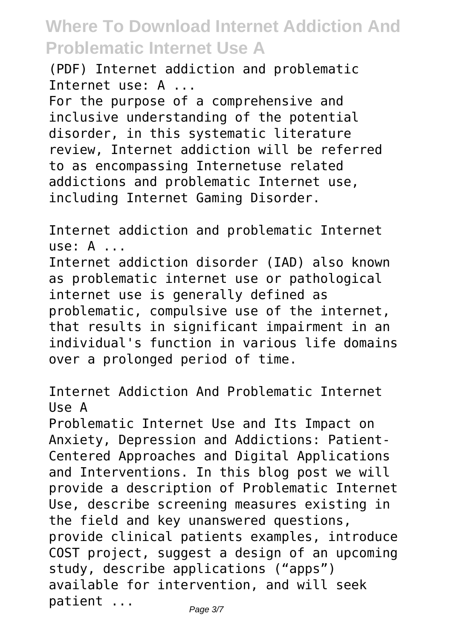(PDF) Internet addiction and problematic Internet use: A ...

For the purpose of a comprehensive and inclusive understanding of the potential disorder, in this systematic literature review, Internet addiction will be referred to as encompassing Internetuse related addictions and problematic Internet use, including Internet Gaming Disorder.

Internet addiction and problematic Internet use: A ...

Internet addiction disorder (IAD) also known as problematic internet use or pathological internet use is generally defined as problematic, compulsive use of the internet, that results in significant impairment in an individual's function in various life domains over a prolonged period of time.

Internet Addiction And Problematic Internet Use A

Problematic Internet Use and Its Impact on Anxiety, Depression and Addictions: Patient-Centered Approaches and Digital Applications and Interventions. In this blog post we will provide a description of Problematic Internet Use, describe screening measures existing in the field and key unanswered questions, provide clinical patients examples, introduce COST project, suggest a design of an upcoming study, describe applications ("apps") available for intervention, and will seek patient ... Page 3/7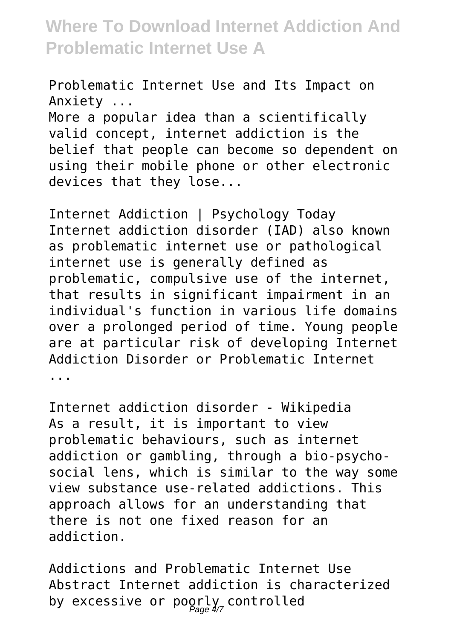Problematic Internet Use and Its Impact on Anxiety ... More a popular idea than a scientifically valid concept, internet addiction is the

belief that people can become so dependent on using their mobile phone or other electronic devices that they lose...

Internet Addiction | Psychology Today Internet addiction disorder (IAD) also known as problematic internet use or pathological internet use is generally defined as problematic, compulsive use of the internet, that results in significant impairment in an individual's function in various life domains over a prolonged period of time. Young people are at particular risk of developing Internet Addiction Disorder or Problematic Internet ...

Internet addiction disorder - Wikipedia As a result, it is important to view problematic behaviours, such as internet addiction or gambling, through a bio-psychosocial lens, which is similar to the way some view substance use-related addictions. This approach allows for an understanding that there is not one fixed reason for an addiction.

Addictions and Problematic Internet Use Abstract Internet addiction is characterized by excessive or poorly controlled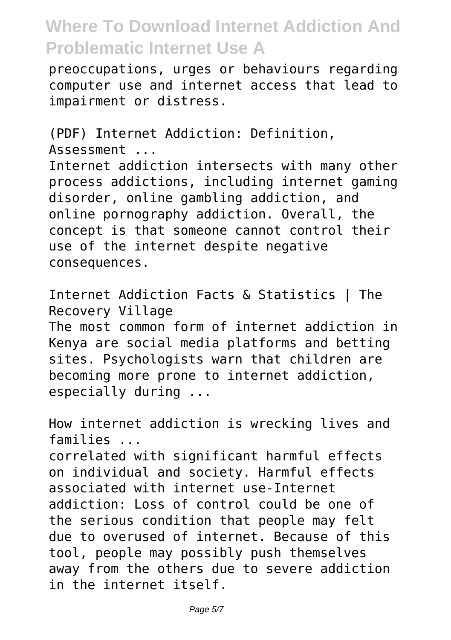preoccupations, urges or behaviours regarding computer use and internet access that lead to impairment or distress.

(PDF) Internet Addiction: Definition, Assessment ... Internet addiction intersects with many other process addictions, including internet gaming disorder, online gambling addiction, and online pornography addiction. Overall, the concept is that someone cannot control their use of the internet despite negative consequences.

Internet Addiction Facts & Statistics | The Recovery Village The most common form of internet addiction in Kenya are social media platforms and betting sites. Psychologists warn that children are becoming more prone to internet addiction, especially during ...

How internet addiction is wrecking lives and families ...

correlated with significant harmful effects on individual and society. Harmful effects associated with internet use-Internet addiction: Loss of control could be one of the serious condition that people may felt due to overused of internet. Because of this tool, people may possibly push themselves away from the others due to severe addiction in the internet itself.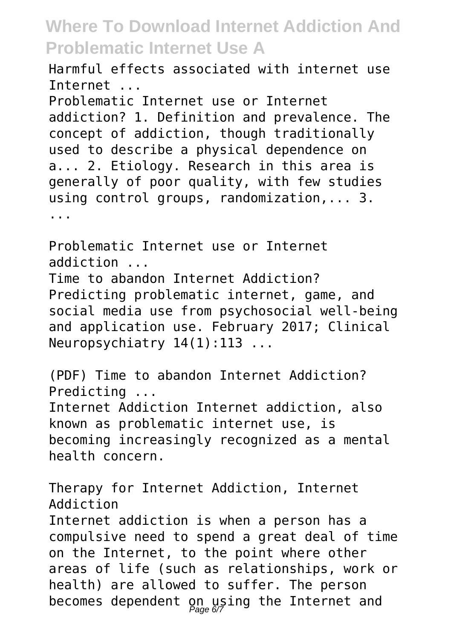Harmful effects associated with internet use Internet ...

Problematic Internet use or Internet addiction? 1. Definition and prevalence. The concept of addiction, though traditionally used to describe a physical dependence on a... 2. Etiology. Research in this area is generally of poor quality, with few studies using control groups, randomization,... 3. ...

Problematic Internet use or Internet addiction ... Time to abandon Internet Addiction? Predicting problematic internet, game, and social media use from psychosocial well-being and application use. February 2017; Clinical Neuropsychiatry 14(1):113 ...

(PDF) Time to abandon Internet Addiction? Predicting ...

Internet Addiction Internet addiction, also known as problematic internet use, is becoming increasingly recognized as a mental health concern.

Therapy for Internet Addiction, Internet Addiction

Internet addiction is when a person has a compulsive need to spend a great deal of time on the Internet, to the point where other areas of life (such as relationships, work or health) are allowed to suffer. The person becomes dependent on using the Internet and